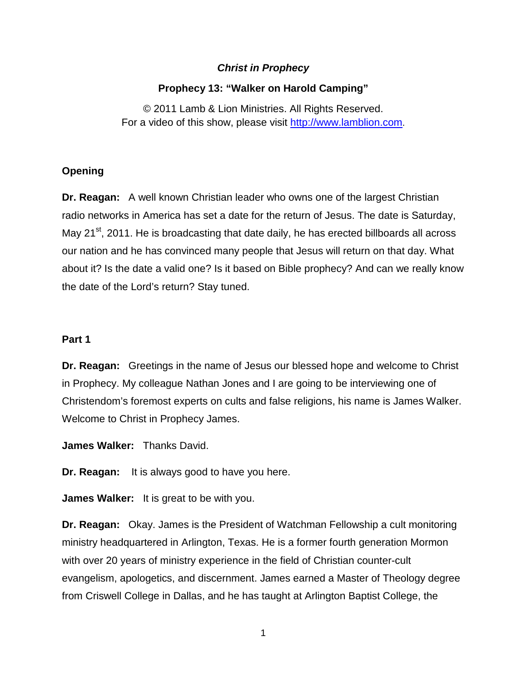# *Christ in Prophecy*

# **Prophecy 13: "Walker on Harold Camping"**

© 2011 Lamb & Lion Ministries. All Rights Reserved. For a video of this show, please visit [http://www.lamblion.com.](http://www.lamblion.com/)

## **Opening**

**Dr. Reagan:** A well known Christian leader who owns one of the largest Christian radio networks in America has set a date for the return of Jesus. The date is Saturday, May  $21<sup>st</sup>$ , 2011. He is broadcasting that date daily, he has erected billboards all across our nation and he has convinced many people that Jesus will return on that day. What about it? Is the date a valid one? Is it based on Bible prophecy? And can we really know the date of the Lord's return? Stay tuned.

## **Part 1**

**Dr. Reagan:** Greetings in the name of Jesus our blessed hope and welcome to Christ in Prophecy. My colleague Nathan Jones and I are going to be interviewing one of Christendom's foremost experts on cults and false religions, his name is James Walker. Welcome to Christ in Prophecy James.

**James Walker:** Thanks David.

**Dr. Reagan:** It is always good to have you here.

**James Walker:** It is great to be with you.

**Dr. Reagan:** Okay. James is the President of Watchman Fellowship a cult monitoring ministry headquartered in Arlington, Texas. He is a former fourth generation Mormon with over 20 years of ministry experience in the field of Christian counter-cult evangelism, apologetics, and discernment. James earned a Master of Theology degree from Criswell College in Dallas, and he has taught at Arlington Baptist College, the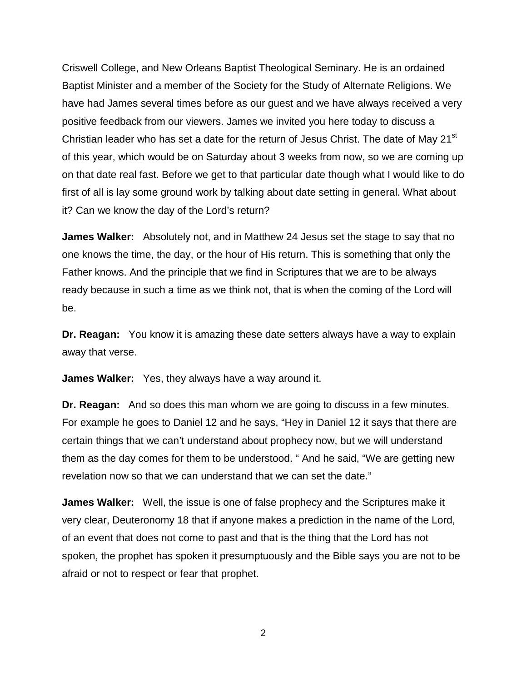Criswell College, and New Orleans Baptist Theological Seminary. He is an ordained Baptist Minister and a member of the Society for the Study of Alternate Religions. We have had James several times before as our guest and we have always received a very positive feedback from our viewers. James we invited you here today to discuss a Christian leader who has set a date for the return of Jesus Christ. The date of May 21<sup>st</sup> of this year, which would be on Saturday about 3 weeks from now, so we are coming up on that date real fast. Before we get to that particular date though what I would like to do first of all is lay some ground work by talking about date setting in general. What about it? Can we know the day of the Lord's return?

**James Walker:** Absolutely not, and in Matthew 24 Jesus set the stage to say that no one knows the time, the day, or the hour of His return. This is something that only the Father knows. And the principle that we find in Scriptures that we are to be always ready because in such a time as we think not, that is when the coming of the Lord will be.

**Dr. Reagan:** You know it is amazing these date setters always have a way to explain away that verse.

**James Walker:** Yes, they always have a way around it.

**Dr. Reagan:** And so does this man whom we are going to discuss in a few minutes. For example he goes to Daniel 12 and he says, "Hey in Daniel 12 it says that there are certain things that we can't understand about prophecy now, but we will understand them as the day comes for them to be understood. " And he said, "We are getting new revelation now so that we can understand that we can set the date."

**James Walker:** Well, the issue is one of false prophecy and the Scriptures make it very clear, Deuteronomy 18 that if anyone makes a prediction in the name of the Lord, of an event that does not come to past and that is the thing that the Lord has not spoken, the prophet has spoken it presumptuously and the Bible says you are not to be afraid or not to respect or fear that prophet.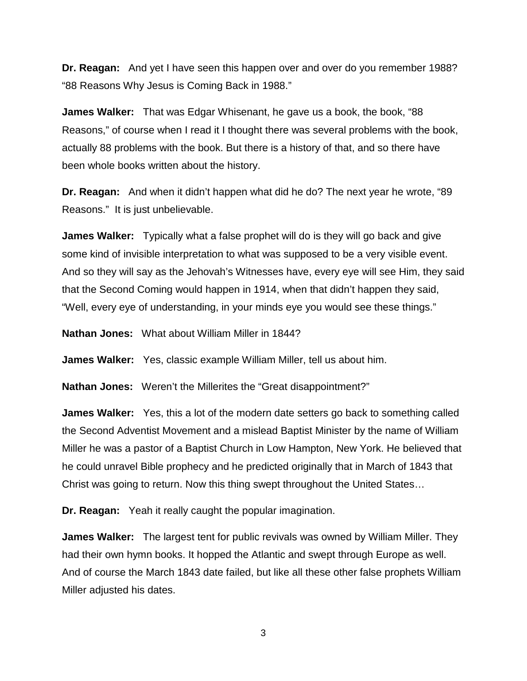**Dr. Reagan:** And yet I have seen this happen over and over do you remember 1988? "88 Reasons Why Jesus is Coming Back in 1988."

**James Walker:** That was Edgar Whisenant, he gave us a book, the book, "88 Reasons," of course when I read it I thought there was several problems with the book, actually 88 problems with the book. But there is a history of that, and so there have been whole books written about the history.

**Dr. Reagan:** And when it didn't happen what did he do? The next year he wrote, "89 Reasons." It is just unbelievable.

**James Walker:** Typically what a false prophet will do is they will go back and give some kind of invisible interpretation to what was supposed to be a very visible event. And so they will say as the Jehovah's Witnesses have, every eye will see Him, they said that the Second Coming would happen in 1914, when that didn't happen they said, "Well, every eye of understanding, in your minds eye you would see these things."

**Nathan Jones:** What about William Miller in 1844?

**James Walker:** Yes, classic example William Miller, tell us about him.

**Nathan Jones:** Weren't the Millerites the "Great disappointment?"

**James Walker:** Yes, this a lot of the modern date setters go back to something called the Second Adventist Movement and a mislead Baptist Minister by the name of William Miller he was a pastor of a Baptist Church in Low Hampton, New York. He believed that he could unravel Bible prophecy and he predicted originally that in March of 1843 that Christ was going to return. Now this thing swept throughout the United States…

**Dr. Reagan:** Yeah it really caught the popular imagination.

**James Walker:** The largest tent for public revivals was owned by William Miller. They had their own hymn books. It hopped the Atlantic and swept through Europe as well. And of course the March 1843 date failed, but like all these other false prophets William Miller adjusted his dates.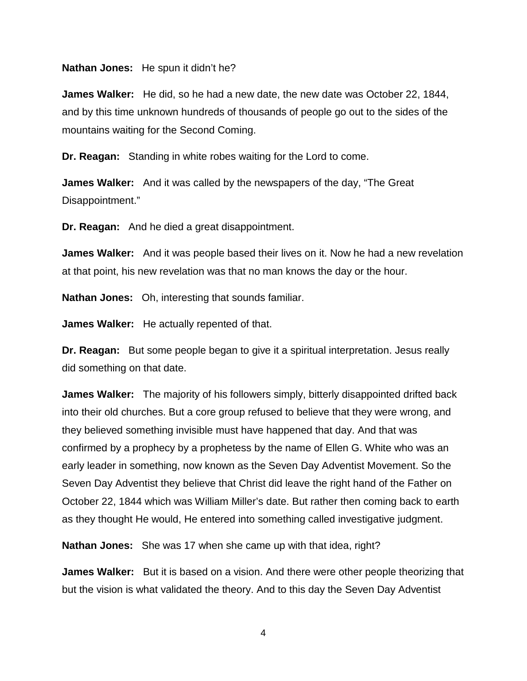#### **Nathan Jones:** He spun it didn't he?

**James Walker:** He did, so he had a new date, the new date was October 22, 1844, and by this time unknown hundreds of thousands of people go out to the sides of the mountains waiting for the Second Coming.

**Dr. Reagan:** Standing in white robes waiting for the Lord to come.

**James Walker:** And it was called by the newspapers of the day, "The Great Disappointment."

**Dr. Reagan:** And he died a great disappointment.

**James Walker:** And it was people based their lives on it. Now he had a new revelation at that point, his new revelation was that no man knows the day or the hour.

**Nathan Jones:** Oh, interesting that sounds familiar.

**James Walker:** He actually repented of that.

**Dr. Reagan:** But some people began to give it a spiritual interpretation. Jesus really did something on that date.

**James Walker:** The majority of his followers simply, bitterly disappointed drifted back into their old churches. But a core group refused to believe that they were wrong, and they believed something invisible must have happened that day. And that was confirmed by a prophecy by a prophetess by the name of Ellen G. White who was an early leader in something, now known as the Seven Day Adventist Movement. So the Seven Day Adventist they believe that Christ did leave the right hand of the Father on October 22, 1844 which was William Miller's date. But rather then coming back to earth as they thought He would, He entered into something called investigative judgment.

**Nathan Jones:** She was 17 when she came up with that idea, right?

**James Walker:** But it is based on a vision. And there were other people theorizing that but the vision is what validated the theory. And to this day the Seven Day Adventist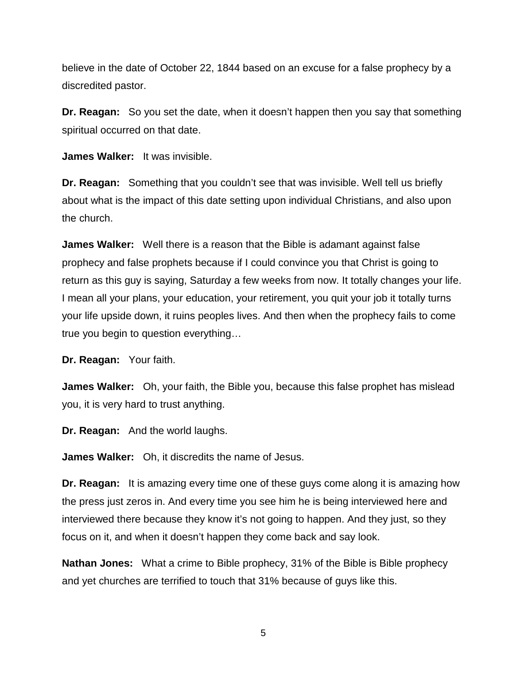believe in the date of October 22, 1844 based on an excuse for a false prophecy by a discredited pastor.

**Dr. Reagan:** So you set the date, when it doesn't happen then you say that something spiritual occurred on that date.

**James Walker:** It was invisible.

**Dr. Reagan:** Something that you couldn't see that was invisible. Well tell us briefly about what is the impact of this date setting upon individual Christians, and also upon the church.

**James Walker:** Well there is a reason that the Bible is adamant against false prophecy and false prophets because if I could convince you that Christ is going to return as this guy is saying, Saturday a few weeks from now. It totally changes your life. I mean all your plans, your education, your retirement, you quit your job it totally turns your life upside down, it ruins peoples lives. And then when the prophecy fails to come true you begin to question everything…

**Dr. Reagan:** Your faith.

**James Walker:** Oh, your faith, the Bible you, because this false prophet has mislead you, it is very hard to trust anything.

**Dr. Reagan:** And the world laughs.

**James Walker:** Oh, it discredits the name of Jesus.

**Dr. Reagan:** It is amazing every time one of these guys come along it is amazing how the press just zeros in. And every time you see him he is being interviewed here and interviewed there because they know it's not going to happen. And they just, so they focus on it, and when it doesn't happen they come back and say look.

**Nathan Jones:** What a crime to Bible prophecy, 31% of the Bible is Bible prophecy and yet churches are terrified to touch that 31% because of guys like this.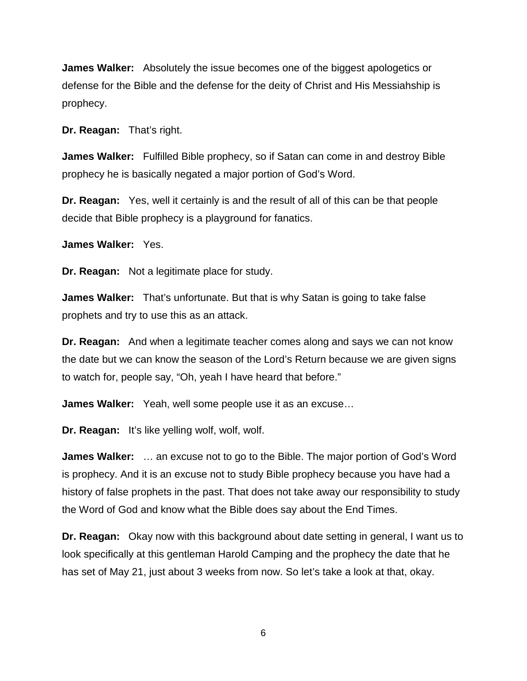**James Walker:** Absolutely the issue becomes one of the biggest apologetics or defense for the Bible and the defense for the deity of Christ and His Messiahship is prophecy.

**Dr. Reagan:** That's right.

**James Walker:** Fulfilled Bible prophecy, so if Satan can come in and destroy Bible prophecy he is basically negated a major portion of God's Word.

**Dr. Reagan:** Yes, well it certainly is and the result of all of this can be that people decide that Bible prophecy is a playground for fanatics.

**James Walker:** Yes.

**Dr. Reagan:** Not a legitimate place for study.

**James Walker:** That's unfortunate. But that is why Satan is going to take false prophets and try to use this as an attack.

**Dr. Reagan:** And when a legitimate teacher comes along and says we can not know the date but we can know the season of the Lord's Return because we are given signs to watch for, people say, "Oh, yeah I have heard that before."

**James Walker:** Yeah, well some people use it as an excuse…

**Dr. Reagan:** It's like yelling wolf, wolf, wolf.

**James Walker:** … an excuse not to go to the Bible. The major portion of God's Word is prophecy. And it is an excuse not to study Bible prophecy because you have had a history of false prophets in the past. That does not take away our responsibility to study the Word of God and know what the Bible does say about the End Times.

**Dr. Reagan:** Okay now with this background about date setting in general, I want us to look specifically at this gentleman Harold Camping and the prophecy the date that he has set of May 21, just about 3 weeks from now. So let's take a look at that, okay.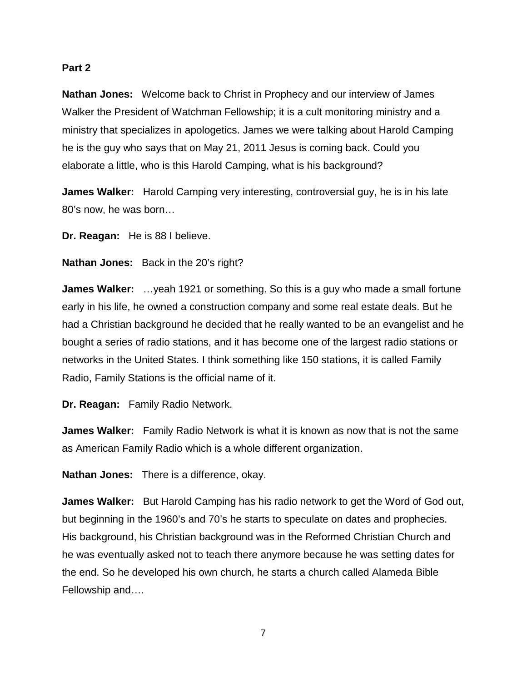### **Part 2**

**Nathan Jones:** Welcome back to Christ in Prophecy and our interview of James Walker the President of Watchman Fellowship; it is a cult monitoring ministry and a ministry that specializes in apologetics. James we were talking about Harold Camping he is the guy who says that on May 21, 2011 Jesus is coming back. Could you elaborate a little, who is this Harold Camping, what is his background?

**James Walker:** Harold Camping very interesting, controversial guy, he is in his late 80's now, he was born…

**Dr. Reagan:** He is 88 I believe.

**Nathan Jones:** Back in the 20's right?

**James Walker:** …yeah 1921 or something. So this is a guy who made a small fortune early in his life, he owned a construction company and some real estate deals. But he had a Christian background he decided that he really wanted to be an evangelist and he bought a series of radio stations, and it has become one of the largest radio stations or networks in the United States. I think something like 150 stations, it is called Family Radio, Family Stations is the official name of it.

**Dr. Reagan:** Family Radio Network.

**James Walker:** Family Radio Network is what it is known as now that is not the same as American Family Radio which is a whole different organization.

**Nathan Jones:** There is a difference, okay.

**James Walker:** But Harold Camping has his radio network to get the Word of God out, but beginning in the 1960's and 70's he starts to speculate on dates and prophecies. His background, his Christian background was in the Reformed Christian Church and he was eventually asked not to teach there anymore because he was setting dates for the end. So he developed his own church, he starts a church called Alameda Bible Fellowship and….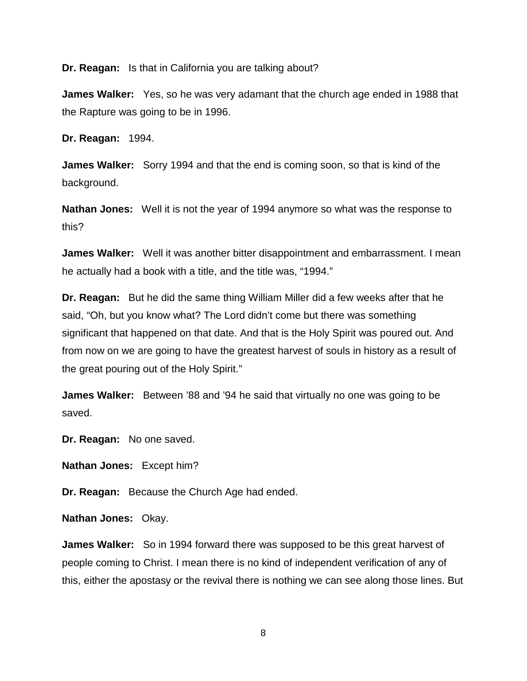**Dr. Reagan:** Is that in California you are talking about?

**James Walker:** Yes, so he was very adamant that the church age ended in 1988 that the Rapture was going to be in 1996.

**Dr. Reagan:** 1994.

**James Walker:** Sorry 1994 and that the end is coming soon, so that is kind of the background.

**Nathan Jones:** Well it is not the year of 1994 anymore so what was the response to this?

**James Walker:** Well it was another bitter disappointment and embarrassment. I mean he actually had a book with a title, and the title was, "1994."

**Dr. Reagan:** But he did the same thing William Miller did a few weeks after that he said, "Oh, but you know what? The Lord didn't come but there was something significant that happened on that date. And that is the Holy Spirit was poured out. And from now on we are going to have the greatest harvest of souls in history as a result of the great pouring out of the Holy Spirit."

**James Walker:** Between '88 and '94 he said that virtually no one was going to be saved.

**Dr. Reagan:** No one saved.

**Nathan Jones:** Except him?

**Dr. Reagan:** Because the Church Age had ended.

**Nathan Jones:** Okay.

**James Walker:** So in 1994 forward there was supposed to be this great harvest of people coming to Christ. I mean there is no kind of independent verification of any of this, either the apostasy or the revival there is nothing we can see along those lines. But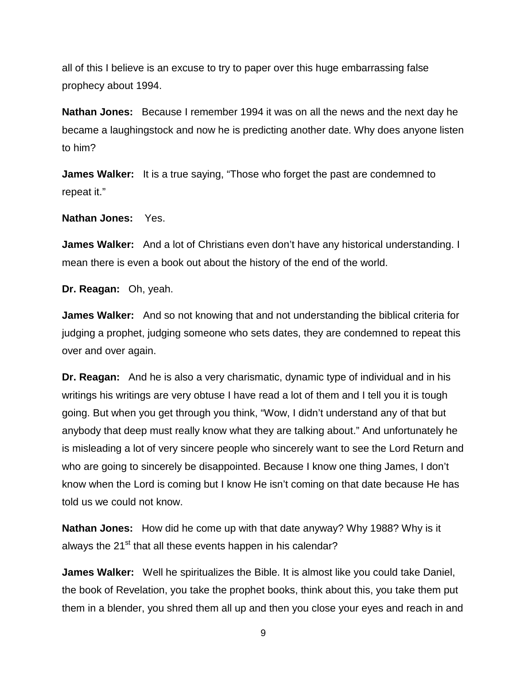all of this I believe is an excuse to try to paper over this huge embarrassing false prophecy about 1994.

**Nathan Jones:** Because I remember 1994 it was on all the news and the next day he became a laughingstock and now he is predicting another date. Why does anyone listen to him?

**James Walker:** It is a true saying, "Those who forget the past are condemned to repeat it."

**Nathan Jones:** Yes.

**James Walker:** And a lot of Christians even don't have any historical understanding. I mean there is even a book out about the history of the end of the world.

**Dr. Reagan:** Oh, yeah.

**James Walker:** And so not knowing that and not understanding the biblical criteria for judging a prophet, judging someone who sets dates, they are condemned to repeat this over and over again.

**Dr. Reagan:** And he is also a very charismatic, dynamic type of individual and in his writings his writings are very obtuse I have read a lot of them and I tell you it is tough going. But when you get through you think, "Wow, I didn't understand any of that but anybody that deep must really know what they are talking about." And unfortunately he is misleading a lot of very sincere people who sincerely want to see the Lord Return and who are going to sincerely be disappointed. Because I know one thing James, I don't know when the Lord is coming but I know He isn't coming on that date because He has told us we could not know.

**Nathan Jones:** How did he come up with that date anyway? Why 1988? Why is it always the  $21<sup>st</sup>$  that all these events happen in his calendar?

**James Walker:** Well he spiritualizes the Bible. It is almost like you could take Daniel, the book of Revelation, you take the prophet books, think about this, you take them put them in a blender, you shred them all up and then you close your eyes and reach in and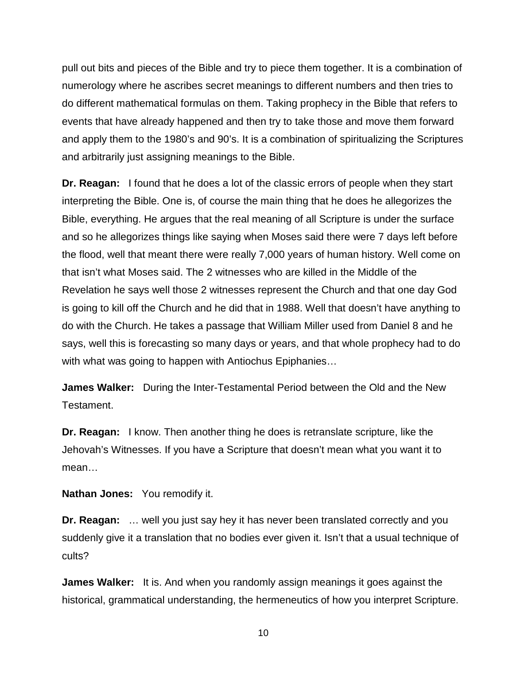pull out bits and pieces of the Bible and try to piece them together. It is a combination of numerology where he ascribes secret meanings to different numbers and then tries to do different mathematical formulas on them. Taking prophecy in the Bible that refers to events that have already happened and then try to take those and move them forward and apply them to the 1980's and 90's. It is a combination of spiritualizing the Scriptures and arbitrarily just assigning meanings to the Bible.

**Dr. Reagan:** I found that he does a lot of the classic errors of people when they start interpreting the Bible. One is, of course the main thing that he does he allegorizes the Bible, everything. He argues that the real meaning of all Scripture is under the surface and so he allegorizes things like saying when Moses said there were 7 days left before the flood, well that meant there were really 7,000 years of human history. Well come on that isn't what Moses said. The 2 witnesses who are killed in the Middle of the Revelation he says well those 2 witnesses represent the Church and that one day God is going to kill off the Church and he did that in 1988. Well that doesn't have anything to do with the Church. He takes a passage that William Miller used from Daniel 8 and he says, well this is forecasting so many days or years, and that whole prophecy had to do with what was going to happen with Antiochus Epiphanies…

**James Walker:** During the Inter-Testamental Period between the Old and the New Testament.

**Dr. Reagan:** I know. Then another thing he does is retranslate scripture, like the Jehovah's Witnesses. If you have a Scripture that doesn't mean what you want it to mean…

**Nathan Jones:** You remodify it.

**Dr. Reagan:** … well you just say hey it has never been translated correctly and you suddenly give it a translation that no bodies ever given it. Isn't that a usual technique of cults?

**James Walker:** It is. And when you randomly assign meanings it goes against the historical, grammatical understanding, the hermeneutics of how you interpret Scripture.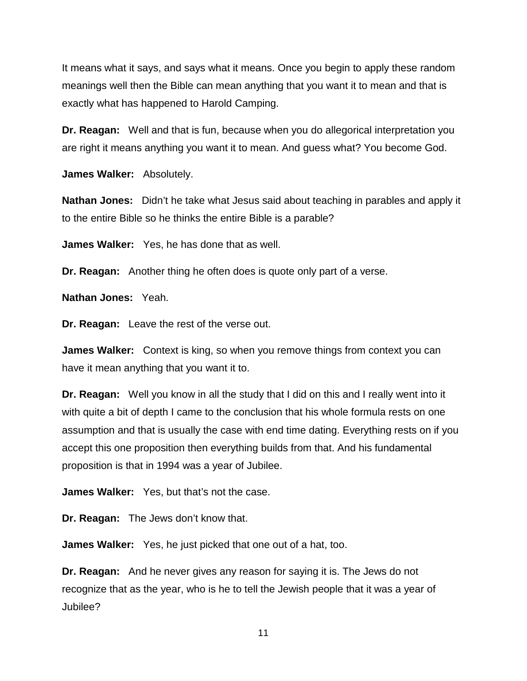It means what it says, and says what it means. Once you begin to apply these random meanings well then the Bible can mean anything that you want it to mean and that is exactly what has happened to Harold Camping.

**Dr. Reagan:** Well and that is fun, because when you do allegorical interpretation you are right it means anything you want it to mean. And guess what? You become God.

**James Walker:** Absolutely.

**Nathan Jones:** Didn't he take what Jesus said about teaching in parables and apply it to the entire Bible so he thinks the entire Bible is a parable?

**James Walker:** Yes, he has done that as well.

**Dr. Reagan:** Another thing he often does is quote only part of a verse.

**Nathan Jones:** Yeah.

**Dr. Reagan:** Leave the rest of the verse out.

**James Walker:** Context is king, so when you remove things from context you can have it mean anything that you want it to.

**Dr. Reagan:** Well you know in all the study that I did on this and I really went into it with quite a bit of depth I came to the conclusion that his whole formula rests on one assumption and that is usually the case with end time dating. Everything rests on if you accept this one proposition then everything builds from that. And his fundamental proposition is that in 1994 was a year of Jubilee.

**James Walker:** Yes, but that's not the case.

**Dr. Reagan:** The Jews don't know that.

**James Walker:** Yes, he just picked that one out of a hat, too.

**Dr. Reagan:** And he never gives any reason for saying it is. The Jews do not recognize that as the year, who is he to tell the Jewish people that it was a year of Jubilee?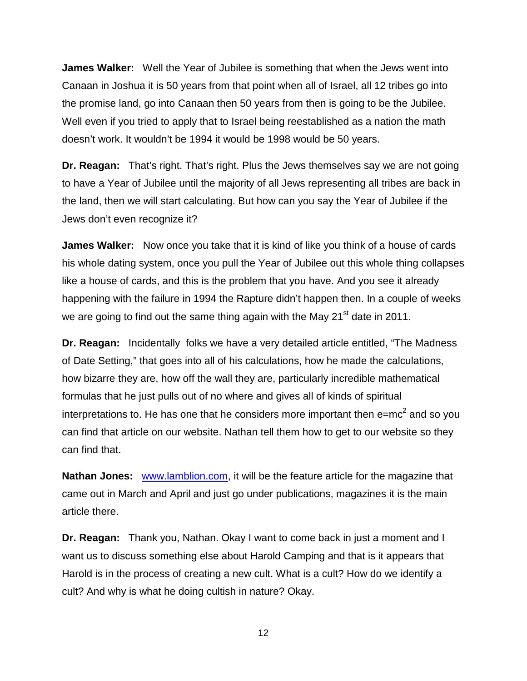**James Walker:** Well the Year of Jubilee is something that when the Jews went into Canaan in Joshua it is 50 years from that point when all of Israel, all 12 tribes go into the promise land, go into Canaan then 50 years from then is going to be the Jubilee. Well even if you tried to apply that to Israel being reestablished as a nation the math doesn't work. It wouldn't be 1994 it would be 1998 would be 50 years.

**Dr. Reagan:** That's right. That's right. Plus the Jews themselves say we are not going to have a Year of Jubilee until the majority of all Jews representing all tribes are back in the land, then we will start calculating. But how can you say the Year of Jubilee if the Jews don't even recognize it?

**James Walker:** Now once you take that it is kind of like you think of a house of cards his whole dating system, once you pull the Year of Jubilee out this whole thing collapses like a house of cards, and this is the problem that you have. And you see it already happening with the failure in 1994 the Rapture didn't happen then. In a couple of weeks we are going to find out the same thing again with the May  $21<sup>st</sup>$  date in 2011.

**Dr. Reagan:** Incidentally folks we have a very detailed article entitled, "The Madness of Date Setting," that goes into all of his calculations, how he made the calculations, how bizarre they are, how off the wall they are, particularly incredible mathematical formulas that he just pulls out of no where and gives all of kinds of spiritual interpretations to. He has one that he considers more important then  $e=mc^2$  and so you can find that article on our website. Nathan tell them how to get to our website so they can find that.

**Nathan Jones:** [www.lamblion.com,](http://www.lamblion.com/) it will be the feature article for the magazine that came out in March and April and just go under publications, magazines it is the main article there.

**Dr. Reagan:** Thank you, Nathan. Okay I want to come back in just a moment and I want us to discuss something else about Harold Camping and that is it appears that Harold is in the process of creating a new cult. What is a cult? How do we identify a cult? And why is what he doing cultish in nature? Okay.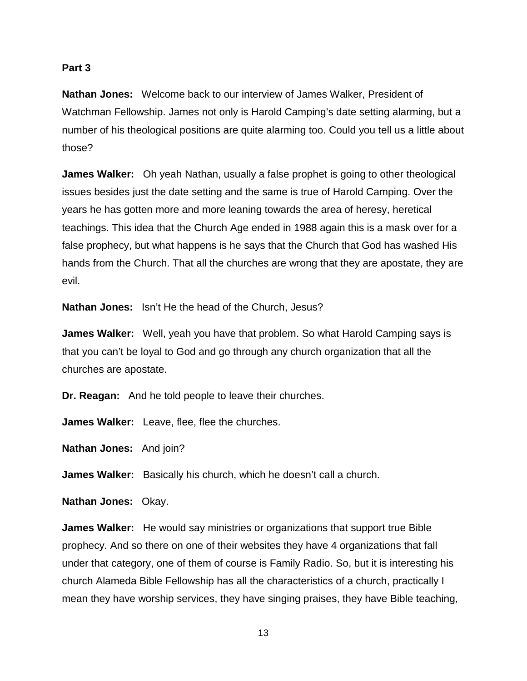### **Part 3**

**Nathan Jones:** Welcome back to our interview of James Walker, President of Watchman Fellowship. James not only is Harold Camping's date setting alarming, but a number of his theological positions are quite alarming too. Could you tell us a little about those?

**James Walker:** Oh yeah Nathan, usually a false prophet is going to other theological issues besides just the date setting and the same is true of Harold Camping. Over the years he has gotten more and more leaning towards the area of heresy, heretical teachings. This idea that the Church Age ended in 1988 again this is a mask over for a false prophecy, but what happens is he says that the Church that God has washed His hands from the Church. That all the churches are wrong that they are apostate, they are evil.

**Nathan Jones:** Isn't He the head of the Church, Jesus?

**James Walker:** Well, yeah you have that problem. So what Harold Camping says is that you can't be loyal to God and go through any church organization that all the churches are apostate.

**Dr. Reagan:** And he told people to leave their churches.

**James Walker:** Leave, flee, flee the churches.

**Nathan Jones:** And join?

**James Walker:** Basically his church, which he doesn't call a church.

**Nathan Jones:** Okay.

**James Walker:** He would say ministries or organizations that support true Bible prophecy. And so there on one of their websites they have 4 organizations that fall under that category, one of them of course is Family Radio. So, but it is interesting his church Alameda Bible Fellowship has all the characteristics of a church, practically I mean they have worship services, they have singing praises, they have Bible teaching,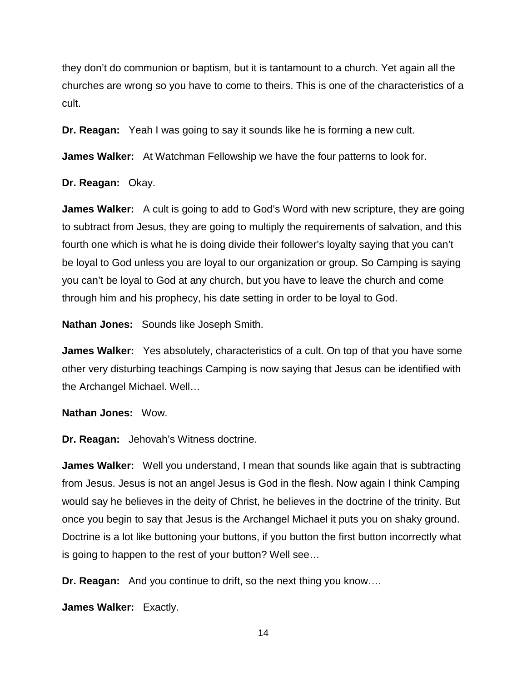they don't do communion or baptism, but it is tantamount to a church. Yet again all the churches are wrong so you have to come to theirs. This is one of the characteristics of a cult.

**Dr. Reagan:** Yeah I was going to say it sounds like he is forming a new cult.

**James Walker:** At Watchman Fellowship we have the four patterns to look for.

**Dr. Reagan:** Okay.

**James Walker:** A cult is going to add to God's Word with new scripture, they are going to subtract from Jesus, they are going to multiply the requirements of salvation, and this fourth one which is what he is doing divide their follower's loyalty saying that you can't be loyal to God unless you are loyal to our organization or group. So Camping is saying you can't be loyal to God at any church, but you have to leave the church and come through him and his prophecy, his date setting in order to be loyal to God.

**Nathan Jones:** Sounds like Joseph Smith.

**James Walker:** Yes absolutely, characteristics of a cult. On top of that you have some other very disturbing teachings Camping is now saying that Jesus can be identified with the Archangel Michael. Well…

**Nathan Jones:** Wow.

**Dr. Reagan:** Jehovah's Witness doctrine.

**James Walker:** Well you understand, I mean that sounds like again that is subtracting from Jesus. Jesus is not an angel Jesus is God in the flesh. Now again I think Camping would say he believes in the deity of Christ, he believes in the doctrine of the trinity. But once you begin to say that Jesus is the Archangel Michael it puts you on shaky ground. Doctrine is a lot like buttoning your buttons, if you button the first button incorrectly what is going to happen to the rest of your button? Well see…

**Dr. Reagan:** And you continue to drift, so the next thing you know….

**James Walker:** Exactly.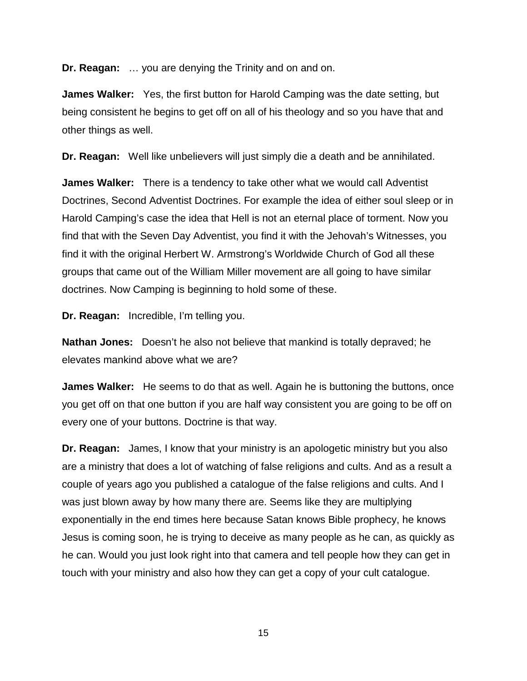**Dr. Reagan:** … you are denying the Trinity and on and on.

**James Walker:** Yes, the first button for Harold Camping was the date setting, but being consistent he begins to get off on all of his theology and so you have that and other things as well.

**Dr. Reagan:** Well like unbelievers will just simply die a death and be annihilated.

**James Walker:** There is a tendency to take other what we would call Adventist Doctrines, Second Adventist Doctrines. For example the idea of either soul sleep or in Harold Camping's case the idea that Hell is not an eternal place of torment. Now you find that with the Seven Day Adventist, you find it with the Jehovah's Witnesses, you find it with the original Herbert W. Armstrong's Worldwide Church of God all these groups that came out of the William Miller movement are all going to have similar doctrines. Now Camping is beginning to hold some of these.

**Dr. Reagan:** Incredible, I'm telling you.

**Nathan Jones:** Doesn't he also not believe that mankind is totally depraved; he elevates mankind above what we are?

**James Walker:** He seems to do that as well. Again he is buttoning the buttons, once you get off on that one button if you are half way consistent you are going to be off on every one of your buttons. Doctrine is that way.

**Dr. Reagan:** James, I know that your ministry is an apologetic ministry but you also are a ministry that does a lot of watching of false religions and cults. And as a result a couple of years ago you published a catalogue of the false religions and cults. And I was just blown away by how many there are. Seems like they are multiplying exponentially in the end times here because Satan knows Bible prophecy, he knows Jesus is coming soon, he is trying to deceive as many people as he can, as quickly as he can. Would you just look right into that camera and tell people how they can get in touch with your ministry and also how they can get a copy of your cult catalogue.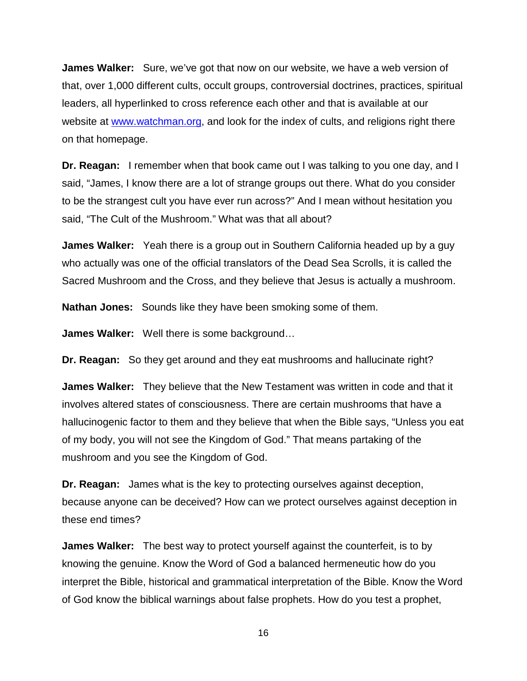**James Walker:** Sure, we've got that now on our website, we have a web version of that, over 1,000 different cults, occult groups, controversial doctrines, practices, spiritual leaders, all hyperlinked to cross reference each other and that is available at our website at [www.watchman.org,](http://www.watchman.org/) and look for the index of cults, and religions right there on that homepage.

**Dr. Reagan:** I remember when that book came out I was talking to you one day, and I said, "James, I know there are a lot of strange groups out there. What do you consider to be the strangest cult you have ever run across?" And I mean without hesitation you said, "The Cult of the Mushroom." What was that all about?

**James Walker:** Yeah there is a group out in Southern California headed up by a guy who actually was one of the official translators of the Dead Sea Scrolls, it is called the Sacred Mushroom and the Cross, and they believe that Jesus is actually a mushroom.

**Nathan Jones:** Sounds like they have been smoking some of them.

**James Walker:** Well there is some background…

**Dr. Reagan:** So they get around and they eat mushrooms and hallucinate right?

**James Walker:** They believe that the New Testament was written in code and that it involves altered states of consciousness. There are certain mushrooms that have a hallucinogenic factor to them and they believe that when the Bible says, "Unless you eat of my body, you will not see the Kingdom of God." That means partaking of the mushroom and you see the Kingdom of God.

**Dr. Reagan:** James what is the key to protecting ourselves against deception, because anyone can be deceived? How can we protect ourselves against deception in these end times?

**James Walker:** The best way to protect yourself against the counterfeit, is to by knowing the genuine. Know the Word of God a balanced hermeneutic how do you interpret the Bible, historical and grammatical interpretation of the Bible. Know the Word of God know the biblical warnings about false prophets. How do you test a prophet,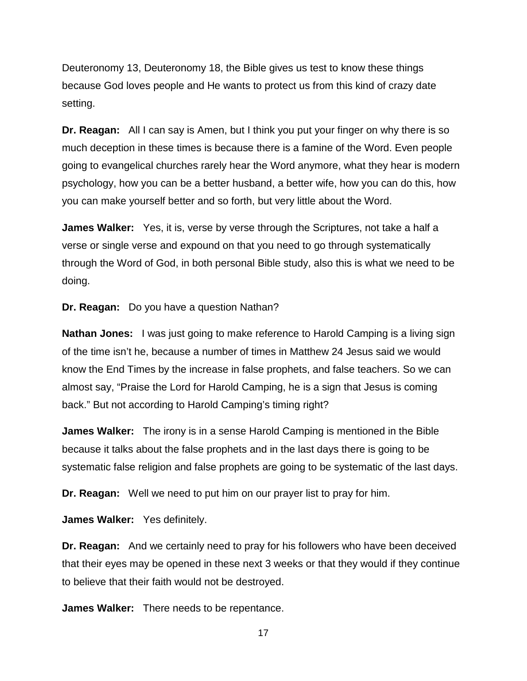Deuteronomy 13, Deuteronomy 18, the Bible gives us test to know these things because God loves people and He wants to protect us from this kind of crazy date setting.

**Dr. Reagan:** All I can say is Amen, but I think you put your finger on why there is so much deception in these times is because there is a famine of the Word. Even people going to evangelical churches rarely hear the Word anymore, what they hear is modern psychology, how you can be a better husband, a better wife, how you can do this, how you can make yourself better and so forth, but very little about the Word.

**James Walker:** Yes, it is, verse by verse through the Scriptures, not take a half a verse or single verse and expound on that you need to go through systematically through the Word of God, in both personal Bible study, also this is what we need to be doing.

**Dr. Reagan:** Do you have a question Nathan?

**Nathan Jones:** I was just going to make reference to Harold Camping is a living sign of the time isn't he, because a number of times in Matthew 24 Jesus said we would know the End Times by the increase in false prophets, and false teachers. So we can almost say, "Praise the Lord for Harold Camping, he is a sign that Jesus is coming back." But not according to Harold Camping's timing right?

**James Walker:** The irony is in a sense Harold Camping is mentioned in the Bible because it talks about the false prophets and in the last days there is going to be systematic false religion and false prophets are going to be systematic of the last days.

**Dr. Reagan:** Well we need to put him on our prayer list to pray for him.

**James Walker:** Yes definitely.

**Dr. Reagan:** And we certainly need to pray for his followers who have been deceived that their eyes may be opened in these next 3 weeks or that they would if they continue to believe that their faith would not be destroyed.

**James Walker:** There needs to be repentance.